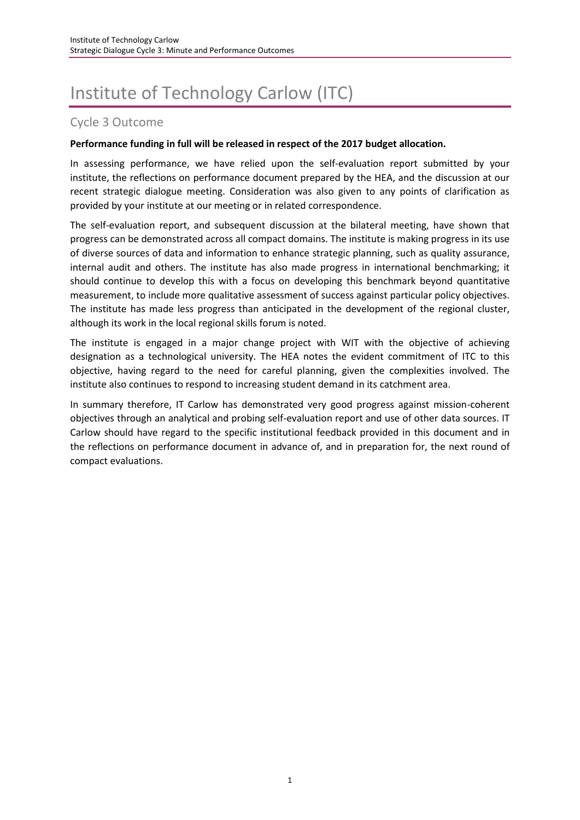# Institute of Technology Carlow (ITC)

# Cycle 3 Outcome

#### **Performance funding in full will be released in respect of the 2017 budget allocation.**

In assessing performance, we have relied upon the self-evaluation report submitted by your institute, the reflections on performance document prepared by the HEA, and the discussion at our recent strategic dialogue meeting. Consideration was also given to any points of clarification as provided by your institute at our meeting or in related correspondence.

The self-evaluation report, and subsequent discussion at the bilateral meeting, have shown that progress can be demonstrated across all compact domains. The institute is making progress in its use of diverse sources of data and information to enhance strategic planning, such as quality assurance, internal audit and others. The institute has also made progress in international benchmarking; it should continue to develop this with a focus on developing this benchmark beyond quantitative measurement, to include more qualitative assessment of success against particular policy objectives. The institute has made less progress than anticipated in the development of the regional cluster, although its work in the local regional skills forum is noted.

The institute is engaged in a major change project with WIT with the objective of achieving designation as a technological university. The HEA notes the evident commitment of ITC to this objective, having regard to the need for careful planning, given the complexities involved. The institute also continues to respond to increasing student demand in its catchment area.

In summary therefore, IT Carlow has demonstrated very good progress against mission-coherent objectives through an analytical and probing self-evaluation report and use of other data sources. IT Carlow should have regard to the specific institutional feedback provided in this document and in the reflections on performance document in advance of, and in preparation for, the next round of compact evaluations.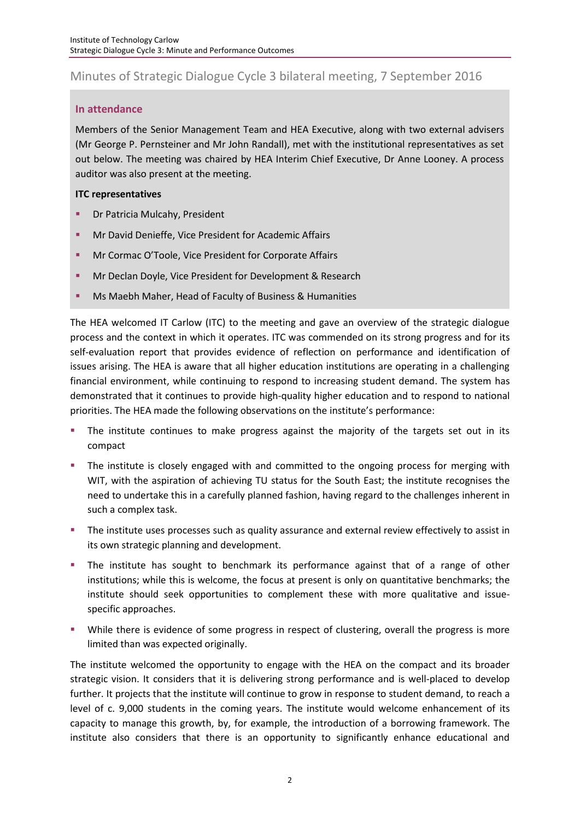# Minutes of Strategic Dialogue Cycle 3 bilateral meeting, 7 September 2016

# **In attendance**

Members of the Senior Management Team and HEA Executive, along with two external advisers (Mr George P. Pernsteiner and Mr John Randall), met with the institutional representatives as set out below. The meeting was chaired by HEA Interim Chief Executive, Dr Anne Looney. A process auditor was also present at the meeting.

# **ITC representatives**

- Dr Patricia Mulcahy, President
- Mr David Denieffe, Vice President for Academic Affairs
- **■** Mr Cormac O'Toole, Vice President for Corporate Affairs
- Mr Declan Doyle, Vice President for Development & Research
- Ms Maebh Maher, Head of Faculty of Business & Humanities

The HEA welcomed IT Carlow (ITC) to the meeting and gave an overview of the strategic dialogue process and the context in which it operates. ITC was commended on its strong progress and for its self-evaluation report that provides evidence of reflection on performance and identification of issues arising. The HEA is aware that all higher education institutions are operating in a challenging financial environment, while continuing to respond to increasing student demand. The system has demonstrated that it continues to provide high-quality higher education and to respond to national priorities. The HEA made the following observations on the institute's performance:

- The institute continues to make progress against the majority of the targets set out in its compact
- **.** The institute is closely engaged with and committed to the ongoing process for merging with WIT, with the aspiration of achieving TU status for the South East; the institute recognises the need to undertake this in a carefully planned fashion, having regard to the challenges inherent in such a complex task.
- **•** The institute uses processes such as quality assurance and external review effectively to assist in its own strategic planning and development.
- **•** The institute has sought to benchmark its performance against that of a range of other institutions; while this is welcome, the focus at present is only on quantitative benchmarks; the institute should seek opportunities to complement these with more qualitative and issuespecific approaches.
- **•** While there is evidence of some progress in respect of clustering, overall the progress is more limited than was expected originally.

The institute welcomed the opportunity to engage with the HEA on the compact and its broader strategic vision. It considers that it is delivering strong performance and is well-placed to develop further. It projects that the institute will continue to grow in response to student demand, to reach a level of c. 9,000 students in the coming years. The institute would welcome enhancement of its capacity to manage this growth, by, for example, the introduction of a borrowing framework. The institute also considers that there is an opportunity to significantly enhance educational and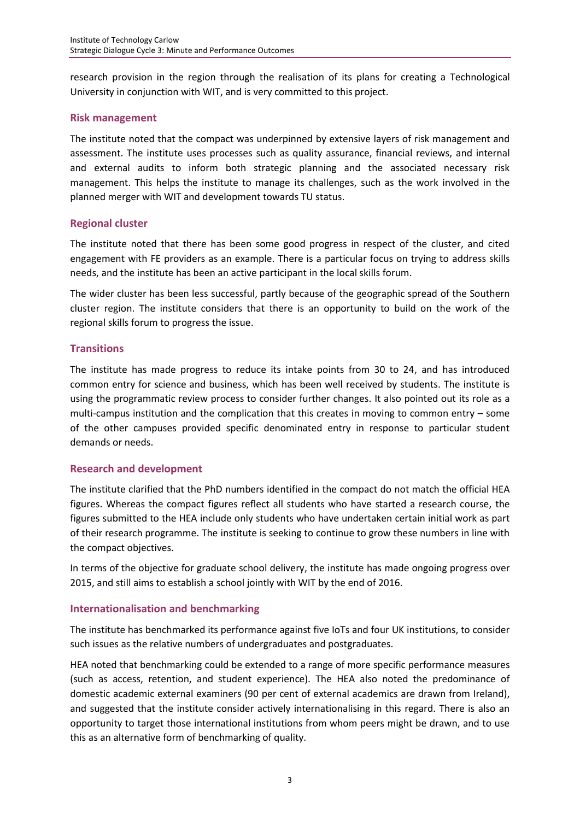research provision in the region through the realisation of its plans for creating a Technological University in conjunction with WIT, and is very committed to this project.

#### **Risk management**

The institute noted that the compact was underpinned by extensive layers of risk management and assessment. The institute uses processes such as quality assurance, financial reviews, and internal and external audits to inform both strategic planning and the associated necessary risk management. This helps the institute to manage its challenges, such as the work involved in the planned merger with WIT and development towards TU status.

# **Regional cluster**

The institute noted that there has been some good progress in respect of the cluster, and cited engagement with FE providers as an example. There is a particular focus on trying to address skills needs, and the institute has been an active participant in the local skills forum.

The wider cluster has been less successful, partly because of the geographic spread of the Southern cluster region. The institute considers that there is an opportunity to build on the work of the regional skills forum to progress the issue.

# **Transitions**

The institute has made progress to reduce its intake points from 30 to 24, and has introduced common entry for science and business, which has been well received by students. The institute is using the programmatic review process to consider further changes. It also pointed out its role as a multi-campus institution and the complication that this creates in moving to common entry – some of the other campuses provided specific denominated entry in response to particular student demands or needs.

# **Research and development**

The institute clarified that the PhD numbers identified in the compact do not match the official HEA figures. Whereas the compact figures reflect all students who have started a research course, the figures submitted to the HEA include only students who have undertaken certain initial work as part of their research programme. The institute is seeking to continue to grow these numbers in line with the compact objectives.

In terms of the objective for graduate school delivery, the institute has made ongoing progress over 2015, and still aims to establish a school jointly with WIT by the end of 2016.

# **Internationalisation and benchmarking**

The institute has benchmarked its performance against five IoTs and four UK institutions, to consider such issues as the relative numbers of undergraduates and postgraduates.

HEA noted that benchmarking could be extended to a range of more specific performance measures (such as access, retention, and student experience). The HEA also noted the predominance of domestic academic external examiners (90 per cent of external academics are drawn from Ireland), and suggested that the institute consider actively internationalising in this regard. There is also an opportunity to target those international institutions from whom peers might be drawn, and to use this as an alternative form of benchmarking of quality.